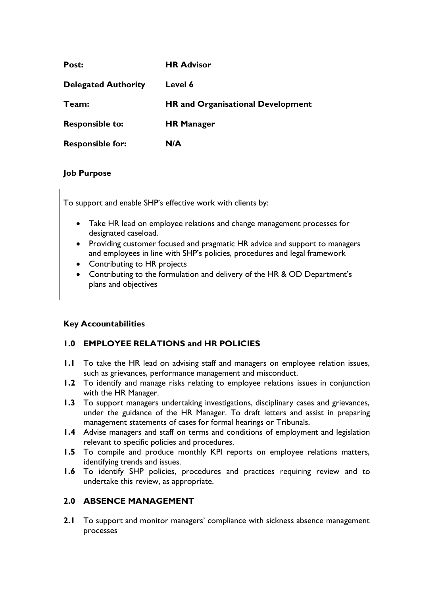| Post:                      | <b>HR Advisor</b>                        |
|----------------------------|------------------------------------------|
| <b>Delegated Authority</b> | Level 6                                  |
| Team:                      | <b>HR and Organisational Development</b> |
| <b>Responsible to:</b>     | <b>HR Manager</b>                        |
| <b>Responsible for:</b>    | N/A                                      |

#### **Job Purpose**

To support and enable SHP's effective work with clients by:

- Take HR lead on employee relations and change management processes for designated caseload.
- Providing customer focused and pragmatic HR advice and support to managers and employees in line with SHP's policies, procedures and legal framework
- Contributing to HR projects
- Contributing to the formulation and delivery of the HR & OD Department's plans and objectives

## **Key Accountabilities**

## **1.0 EMPLOYEE RELATIONS and HR POLICIES**

- **1.1** To take the HR lead on advising staff and managers on employee relation issues, such as grievances, performance management and misconduct.
- **1.2** To identify and manage risks relating to employee relations issues in conjunction with the HR Manager.
- **1.3** To support managers undertaking investigations, disciplinary cases and grievances, under the guidance of the HR Manager. To draft letters and assist in preparing management statements of cases for formal hearings or Tribunals.
- **1.4** Advise managers and staff on terms and conditions of employment and legislation relevant to specific policies and procedures.
- **1.5** To compile and produce monthly KPI reports on employee relations matters, identifying trends and issues.
- **1.6** To identify SHP policies, procedures and practices requiring review and to undertake this review, as appropriate.

#### **2.0 ABSENCE MANAGEMENT**

**2.1** To support and monitor managers' compliance with sickness absence management processes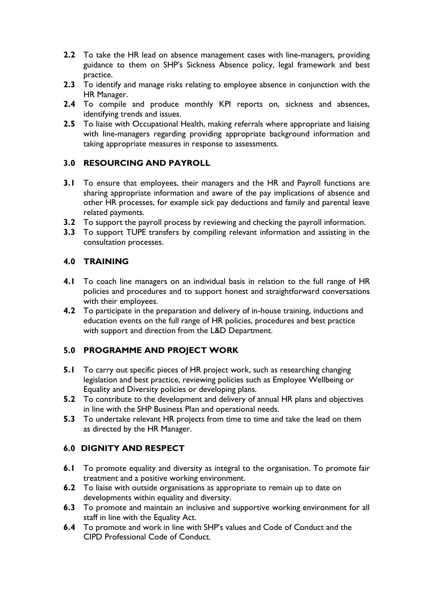- **2.2** To take the HR lead on absence management cases with line-managers, providing guidance to them on SHP's Sickness Absence policy, legal framework and best practice.
- **2.3** To identify and manage risks relating to employee absence in conjunction with the HR Manager.
- **2.4** To compile and produce monthly KPI reports on, sickness and absences, identifying trends and issues.
- **2.5** To liaise with Occupational Health, making referrals where appropriate and liaising with line-managers regarding providing appropriate background information and taking appropriate measures in response to assessments.

## **3.0 RESOURCING AND PAYROLL**

- **3.1** To ensure that employees, their managers and the HR and Payroll functions are sharing appropriate information and aware of the pay implications of absence and other HR processes, for example sick pay deductions and family and parental leave related payments.
- **3.2** To support the payroll process by reviewing and checking the payroll information.
- **3.3** To support TUPE transfers by compiling relevant information and assisting in the consultation processes.

## **4.0 TRAINING**

- **4.1** To coach line managers on an individual basis in relation to the full range of HR policies and procedures and to support honest and straightforward conversations with their employees.
- **4.2** To participate in the preparation and delivery of in-house training, inductions and education events on the full range of HR policies, procedures and best practice with support and direction from the L&D Department.

## **5.0 PROGRAMME AND PROJECT WORK**

- **5.1** To carry out specific pieces of HR project work, such as researching changing legislation and best practice, reviewing policies such as Employee Wellbeing or Equality and Diversity policies or developing plans.
- **5.2** To contribute to the development and delivery of annual HR plans and objectives in line with the SHP Business Plan and operational needs.
- **5.3** To undertake relevant HR projects from time to time and take the lead on them as directed by the HR Manager.

## **6.0 DIGNITY AND RESPECT**

- **6.1** To promote equality and diversity as integral to the organisation. To promote fair treatment and a positive working environment.
- **6.2** To liaise with outside organisations as appropriate to remain up to date on developments within equality and diversity.
- **6.3** To promote and maintain an inclusive and supportive working environment for all staff in line with the Equality Act.
- **6.4** To promote and work in line with SHP's values and Code of Conduct and the CIPD Professional Code of Conduct.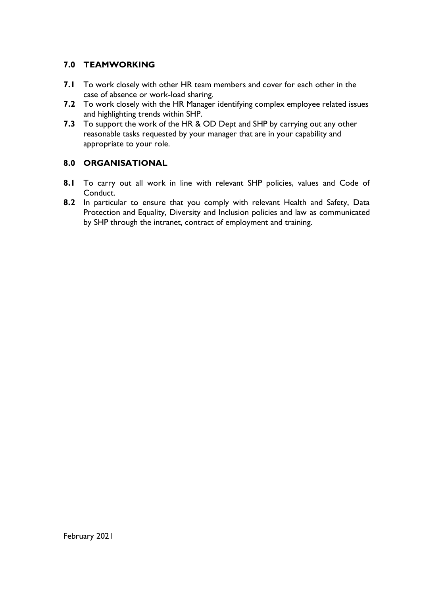# **7.0 TEAMWORKING**

- **7.1** To work closely with other HR team members and cover for each other in the case of absence or work-load sharing.
- **7.2** To work closely with the HR Manager identifying complex employee related issues and highlighting trends within SHP.
- **7.3** To support the work of the HR & OD Dept and SHP by carrying out any other reasonable tasks requested by your manager that are in your capability and appropriate to your role.

# **8.0 ORGANISATIONAL**

- **8.1** To carry out all work in line with relevant SHP policies, values and Code of Conduct.
- **8.2** In particular to ensure that you comply with relevant Health and Safety, Data Protection and Equality, Diversity and Inclusion policies and law as communicated by SHP through the intranet, contract of employment and training.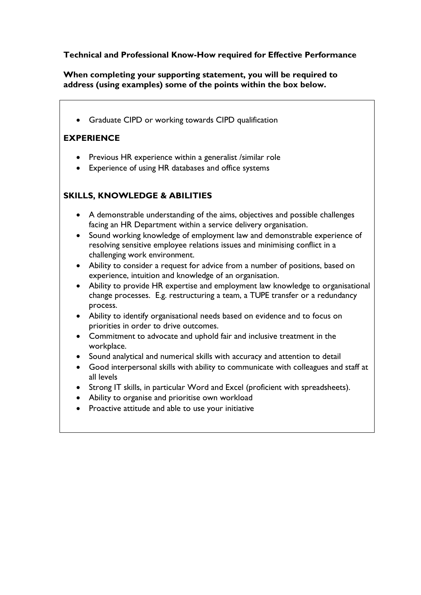## **Technical and Professional Know-How required for Effective Performance**

**When completing your supporting statement, you will be required to address (using examples) some of the points within the box below.**

Graduate CIPD or working towards CIPD qualification

# **EXPERIENCE**

- Previous HR experience within a generalist /similar role
- Experience of using HR databases and office systems

# **SKILLS, KNOWLEDGE & ABILITIES**

- A demonstrable understanding of the aims, objectives and possible challenges facing an HR Department within a service delivery organisation.
- Sound working knowledge of employment law and demonstrable experience of resolving sensitive employee relations issues and minimising conflict in a challenging work environment.
- Ability to consider a request for advice from a number of positions, based on experience, intuition and knowledge of an organisation.
- Ability to provide HR expertise and employment law knowledge to organisational change processes. E.g. restructuring a team, a TUPE transfer or a redundancy process.
- Ability to identify organisational needs based on evidence and to focus on priorities in order to drive outcomes.
- Commitment to advocate and uphold fair and inclusive treatment in the workplace.
- Sound analytical and numerical skills with accuracy and attention to detail
- Good interpersonal skills with ability to communicate with colleagues and staff at all levels
- Strong IT skills, in particular Word and Excel (proficient with spreadsheets).
- Ability to organise and prioritise own workload
- Proactive attitude and able to use your initiative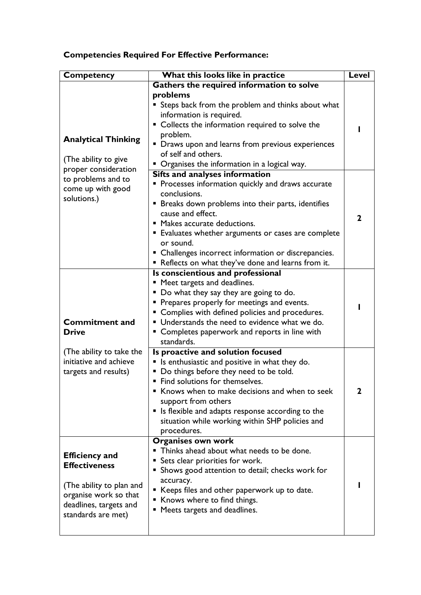# **Competencies Required For Effective Performance:**

| Competency                 | What this looks like in practice                                   | Level |
|----------------------------|--------------------------------------------------------------------|-------|
|                            | Gathers the required information to solve                          |       |
|                            | problems                                                           |       |
|                            | Steps back from the problem and thinks about what                  |       |
|                            | information is required.                                           |       |
|                            | • Collects the information required to solve the                   |       |
| <b>Analytical Thinking</b> | problem.                                                           |       |
|                            | • Draws upon and learns from previous experiences                  |       |
| (The ability to give       | of self and others.                                                |       |
| proper consideration       | • Organises the information in a logical way.                      |       |
| to problems and to         | Sifts and analyses information                                     |       |
| come up with good          | Processes information quickly and draws accurate                   |       |
| solutions.)                | conclusions.                                                       |       |
|                            | <b>Example 1</b> Breaks down problems into their parts, identifies |       |
|                            | cause and effect.                                                  | 2     |
|                            | " Makes accurate deductions.                                       |       |
|                            | ■ Evaluates whether arguments or cases are complete                |       |
|                            | or sound.                                                          |       |
|                            | • Challenges incorrect information or discrepancies.               |       |
|                            | Reflects on what they've done and learns from it.                  |       |
|                            | Is conscientious and professional<br>" Meet targets and deadlines. |       |
|                            | " Do what they say they are going to do.                           |       |
|                            | • Prepares properly for meetings and events.                       |       |
|                            | • Complies with defined policies and procedures.                   |       |
| <b>Commitment and</b>      | Understands the need to evidence what we do.                       |       |
| <b>Drive</b>               | • Completes paperwork and reports in line with                     |       |
|                            | standards.                                                         |       |
| (The ability to take the   | Is proactive and solution focused                                  |       |
| initiative and achieve     | Is enthusiastic and positive in what they do.<br>п                 |       |
| targets and results)       | Do things before they need to be told.                             |       |
|                            | Find solutions for themselves.                                     |       |
|                            | Knows when to make decisions and when to seek<br>٠                 | 2     |
|                            | support from others                                                |       |
|                            | • Is flexible and adapts response according to the                 |       |
|                            | situation while working within SHP policies and                    |       |
|                            | procedures.                                                        |       |
|                            | <b>Organises own work</b>                                          |       |
| <b>Efficiency and</b>      | • Thinks ahead about what needs to be done.                        |       |
| <b>Effectiveness</b>       | <b>Sets clear priorities for work.</b>                             |       |
|                            | Shows good attention to detail; checks work for<br>■               |       |
| (The ability to plan and   | accuracy.                                                          |       |
| organise work so that      | ■ Keeps files and other paperwork up to date.                      |       |
| deadlines, targets and     | Knows where to find things.                                        |       |
| standards are met)         | Meets targets and deadlines.                                       |       |
|                            |                                                                    |       |
|                            |                                                                    |       |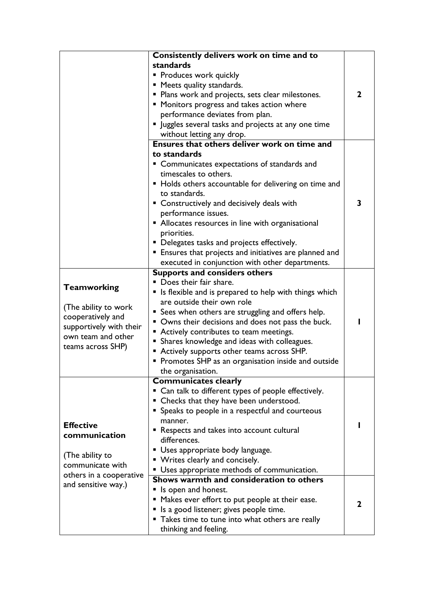|                         | Consistently delivers work on time and to                    |              |
|-------------------------|--------------------------------------------------------------|--------------|
|                         | standards                                                    |              |
|                         | • Produces work quickly                                      |              |
|                         | " Meets quality standards.                                   |              |
|                         | • Plans work and projects, sets clear milestones.            | $\mathbf{2}$ |
|                         | " Monitors progress and takes action where                   |              |
|                         | performance deviates from plan.                              |              |
|                         | " Juggles several tasks and projects at any one time         |              |
|                         | without letting any drop.                                    |              |
|                         | Ensures that others deliver work on time and                 |              |
|                         | to standards                                                 |              |
|                         | • Communicates expectations of standards and                 |              |
|                         | timescales to others.                                        |              |
|                         | • Holds others accountable for delivering on time and        |              |
|                         | to standards.                                                |              |
|                         | • Constructively and decisively deals with                   | 3            |
|                         | performance issues.                                          |              |
|                         | • Allocates resources in line with organisational            |              |
|                         | priorities.                                                  |              |
|                         | • Delegates tasks and projects effectively.                  |              |
|                         | <b>Ensures that projects and initiatives are planned and</b> |              |
|                         | executed in conjunction with other departments.              |              |
|                         | <b>Supports and considers others</b>                         |              |
|                         | Does their fair share.                                       |              |
| <b>Teamworking</b>      | Is flexible and is prepared to help with things which<br>ш   |              |
|                         | are outside their own role                                   |              |
| (The ability to work)   | • Sees when others are struggling and offers help.           |              |
| cooperatively and       | • Owns their decisions and does not pass the buck.           |              |
| supportively with their | ■ Actively contributes to team meetings.                     |              |
| own team and other      | • Shares knowledge and ideas with colleagues.                |              |
| teams across SHP)       | Actively supports other teams across SHP.                    |              |
|                         | • Promotes SHP as an organisation inside and outside         |              |
|                         | the organisation.                                            |              |
|                         | <b>Communicates clearly</b>                                  |              |
|                         | " Can talk to different types of people effectively.         |              |
|                         | • Checks that they have been understood.                     |              |
|                         | • Speaks to people in a respectful and courteous             |              |
|                         | manner.                                                      |              |
| <b>Effective</b>        | Respects and takes into account cultural                     |              |
| communication           | differences.                                                 |              |
|                         | Uses appropriate body language.                              |              |
| (The ability to         | • Writes clearly and concisely.                              |              |
| communicate with        | Uses appropriate methods of communication.                   |              |
| others in a cooperative | Shows warmth and consideration to others                     |              |
| and sensitive way.)     | Is open and honest.                                          |              |
|                         | " Makes ever effort to put people at their ease.             |              |
|                         | Is a good listener; gives people time.                       | 2            |
|                         | Takes time to tune into what others are really               |              |
|                         | thinking and feeling.                                        |              |
|                         |                                                              |              |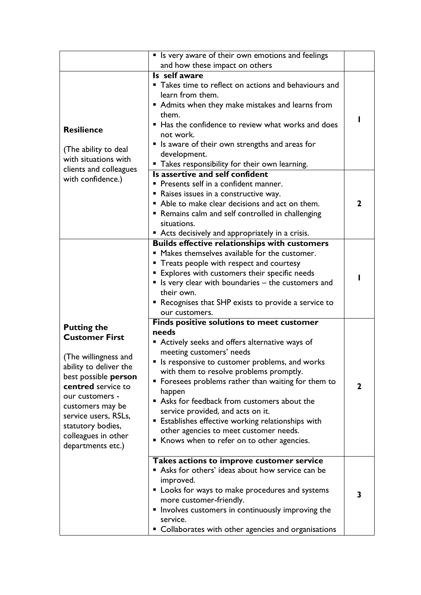|                                                           | • Is very aware of their own emotions and feelings      |              |
|-----------------------------------------------------------|---------------------------------------------------------|--------------|
|                                                           | and how these impact on others                          |              |
|                                                           | Is self aware                                           |              |
|                                                           | • Takes time to reflect on actions and behaviours and   |              |
|                                                           | learn from them.                                        |              |
|                                                           | ■ Admits when they make mistakes and learns from        |              |
|                                                           | them.                                                   |              |
|                                                           | ■ Has the confidence to review what works and does      |              |
| <b>Resilience</b>                                         | not work.                                               |              |
|                                                           | ■ Is aware of their own strengths and areas for         |              |
| (The ability to deal                                      | development.                                            |              |
| with situations with                                      | " Takes responsibility for their own learning.          |              |
| clients and colleagues                                    | Is assertive and self confident                         |              |
| with confidence.)                                         | Presents self in a confident manner.                    |              |
|                                                           | Raises issues in a constructive way.                    |              |
|                                                           | Able to make clear decisions and act on them.           | $\mathbf{2}$ |
|                                                           | • Remains calm and self controlled in challenging       |              |
|                                                           | situations.                                             |              |
|                                                           | • Acts decisively and appropriately in a crisis.        |              |
|                                                           | <b>Builds effective relationships with customers</b>    |              |
|                                                           | • Makes themselves available for the customer.          |              |
|                                                           | • Treats people with respect and courtesy               |              |
|                                                           | <b>Explores with customers their specific needs</b>     |              |
|                                                           | " Is very clear with boundaries - the customers and     |              |
|                                                           | their own.                                              |              |
|                                                           | ■ Recognises that SHP exists to provide a service to    |              |
|                                                           | our customers.                                          |              |
|                                                           | <b>Finds positive solutions to meet customer</b>        |              |
| <b>Putting the</b><br><b>Customer First</b>               | needs                                                   |              |
|                                                           | ■ Actively seeks and offers alternative ways of         |              |
|                                                           | meeting customers' needs                                |              |
| (The willingness and                                      | " Is responsive to customer problems, and works         |              |
| ability to deliver the                                    | with them to resolve problems promptly.                 |              |
| best possible person                                      | • Foresees problems rather than waiting for them to     | $\mathbf{2}$ |
| centred service to<br>our customers -<br>customers may be | happen                                                  |              |
|                                                           | Asks for feedback from customers about the              |              |
| service users, RSLs,                                      | service provided, and acts on it.                       |              |
| statutory bodies,                                         | <b>Establishes effective working relationships with</b> |              |
| colleagues in other                                       | other agencies to meet customer needs.                  |              |
| departments etc.)                                         | ■ Knows when to refer on to other agencies.             |              |
|                                                           |                                                         |              |
|                                                           | Takes actions to improve customer service               |              |
|                                                           | Asks for others' ideas about how service can be         |              |
|                                                           | improved.                                               |              |
|                                                           | Looks for ways to make procedures and systems           | 3            |
|                                                           | more customer-friendly.                                 |              |
|                                                           | Involves customers in continuously improving the        |              |
|                                                           | service.                                                |              |
|                                                           | • Collaborates with other agencies and organisations    |              |